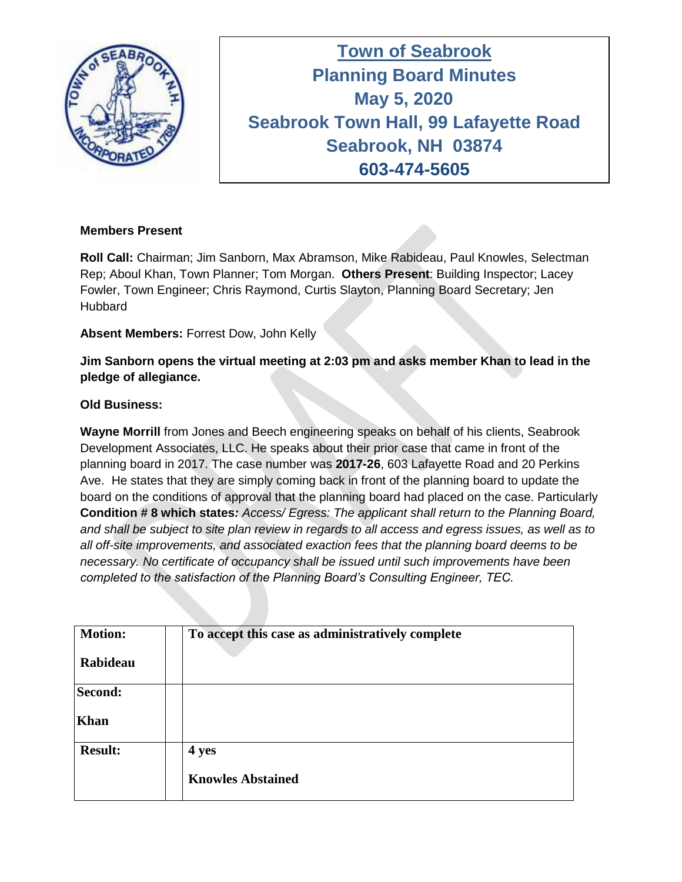

**Town of Seabrook Planning Board Minutes Tuesday April 16, 2019 May 5, 2020 Seabrook Town Hall, 99 Lafayette Road Seabrook, NH 03874 603-474-5605**

## **Members Present**

**Roll Call:** Chairman; Jim Sanborn, Max Abramson, Mike Rabideau, Paul Knowles, Selectman Rep; Aboul Khan, Town Planner; Tom Morgan. **Others Present**: Building Inspector; Lacey Fowler, Town Engineer; Chris Raymond, Curtis Slayton, Planning Board Secretary; Jen **Hubbard** 

**Absent Members:** Forrest Dow, John Kelly

**Jim Sanborn opens the virtual meeting at 2:03 pm and asks member Khan to lead in the pledge of allegiance.** 

## **Old Business:**

**Wayne Morrill** from Jones and Beech engineering speaks on behalf of his clients, Seabrook Development Associates, LLC. He speaks about their prior case that came in front of the planning board in 2017. The case number was **2017-26**, 603 Lafayette Road and 20 Perkins Ave. He states that they are simply coming back in front of the planning board to update the board on the conditions of approval that the planning board had placed on the case. Particularly **Condition # 8 which states***: Access/ Egress: The applicant shall return to the Planning Board, and shall be subject to site plan review in regards to all access and egress issues, as well as to all off-site improvements, and associated exaction fees that the planning board deems to be necessary. No certificate of occupancy shall be issued until such improvements have been completed to the satisfaction of the Planning Board's Consulting Engineer, TEC.*

| <b>Motion:</b><br>Rabideau | To accept this case as administratively complete |
|----------------------------|--------------------------------------------------|
| Second:<br><b>Khan</b>     |                                                  |
| <b>Result:</b>             | 4 yes<br><b>Knowles Abstained</b>                |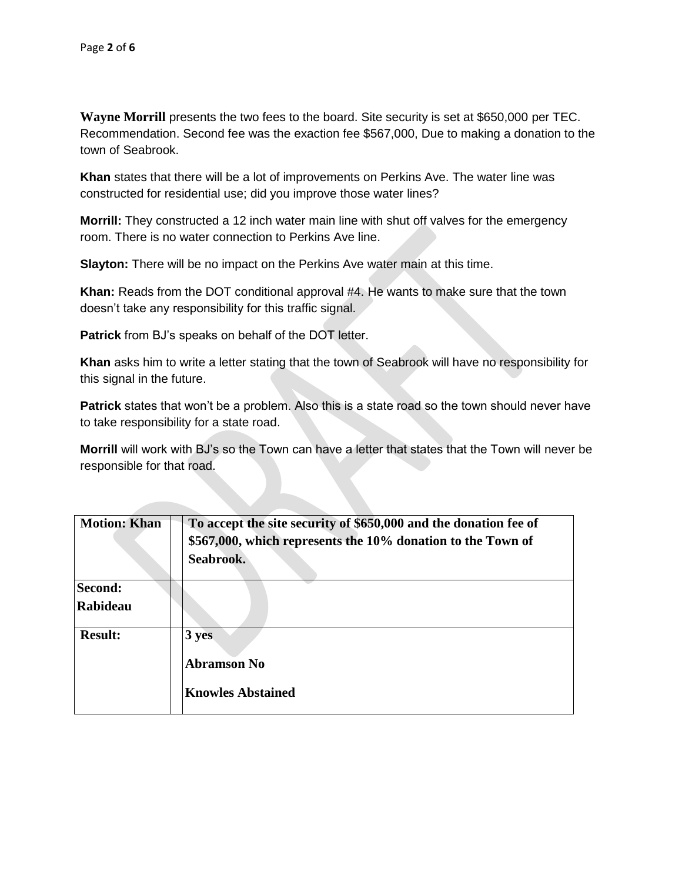**Wayne Morrill** presents the two fees to the board. Site security is set at \$650,000 per TEC. Recommendation. Second fee was the exaction fee \$567,000, Due to making a donation to the town of Seabrook.

**Khan** states that there will be a lot of improvements on Perkins Ave. The water line was constructed for residential use; did you improve those water lines?

**Morrill:** They constructed a 12 inch water main line with shut off valves for the emergency room. There is no water connection to Perkins Ave line.

**Slayton:** There will be no impact on the Perkins Ave water main at this time.

**Khan:** Reads from the DOT conditional approval #4. He wants to make sure that the town doesn't take any responsibility for this traffic signal.

**Patrick** from BJ's speaks on behalf of the DOT letter.

**Khan** asks him to write a letter stating that the town of Seabrook will have no responsibility for this signal in the future.

**Patrick** states that won't be a problem. Also this is a state road so the town should never have to take responsibility for a state road.

**Morrill** will work with BJ's so the Town can have a letter that states that the Town will never be responsible for that road.

| <b>Motion: Khan</b> | To accept the site security of \$650,000 and the donation fee of<br>\$567,000, which represents the 10% donation to the Town of<br>Seabrook. |
|---------------------|----------------------------------------------------------------------------------------------------------------------------------------------|
| Second:             |                                                                                                                                              |
| Rabideau            |                                                                                                                                              |
| <b>Result:</b>      | $3 \text{ yes}$<br><b>Abramson No</b><br><b>Knowles Abstained</b>                                                                            |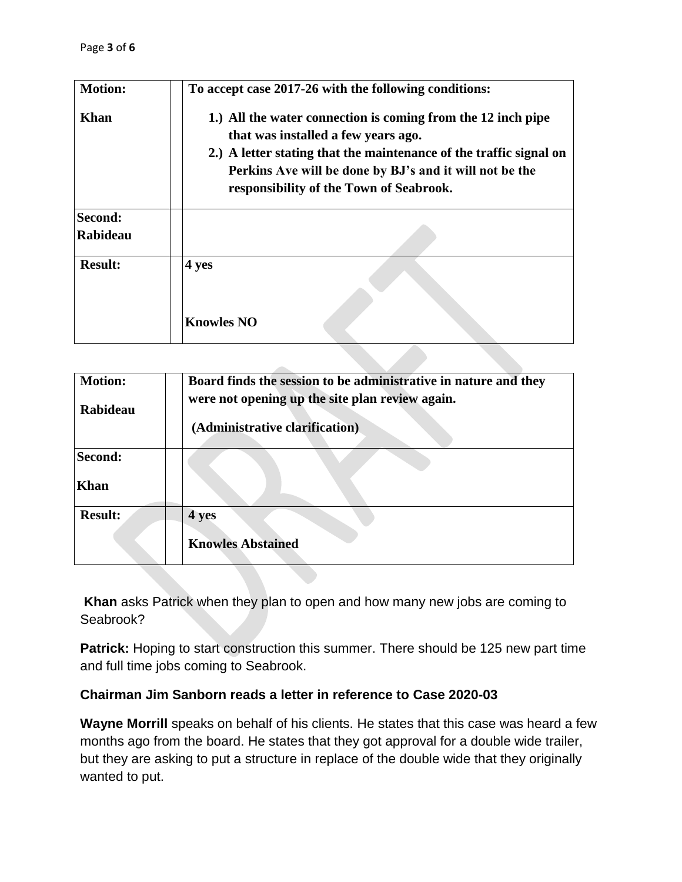| <b>Motion:</b>             | To accept case 2017-26 with the following conditions:                                                                                                                                                                                                                           |
|----------------------------|---------------------------------------------------------------------------------------------------------------------------------------------------------------------------------------------------------------------------------------------------------------------------------|
| Khan                       | 1.) All the water connection is coming from the 12 inch pipe<br>that was installed a few years ago.<br>2.) A letter stating that the maintenance of the traffic signal on<br>Perkins Ave will be done by BJ's and it will not be the<br>responsibility of the Town of Seabrook. |
| Second:<br><b>Rabideau</b> |                                                                                                                                                                                                                                                                                 |
| <b>Result:</b>             | 4 yes<br><b>Knowles NO</b>                                                                                                                                                                                                                                                      |

| <b>Motion:</b> | Board finds the session to be administrative in nature and they |
|----------------|-----------------------------------------------------------------|
| Rabideau       | were not opening up the site plan review again.                 |
|                | (Administrative clarification)                                  |
| Second:        |                                                                 |
| <b>Khan</b>    |                                                                 |
| <b>Result:</b> | 4 yes                                                           |
|                | <b>Knowles Abstained</b>                                        |

**Khan** asks Patrick when they plan to open and how many new jobs are coming to Seabrook?

Patrick: Hoping to start construction this summer. There should be 125 new part time and full time jobs coming to Seabrook.

## **Chairman Jim Sanborn reads a letter in reference to Case 2020-03**

**Wayne Morrill** speaks on behalf of his clients. He states that this case was heard a few months ago from the board. He states that they got approval for a double wide trailer, but they are asking to put a structure in replace of the double wide that they originally wanted to put.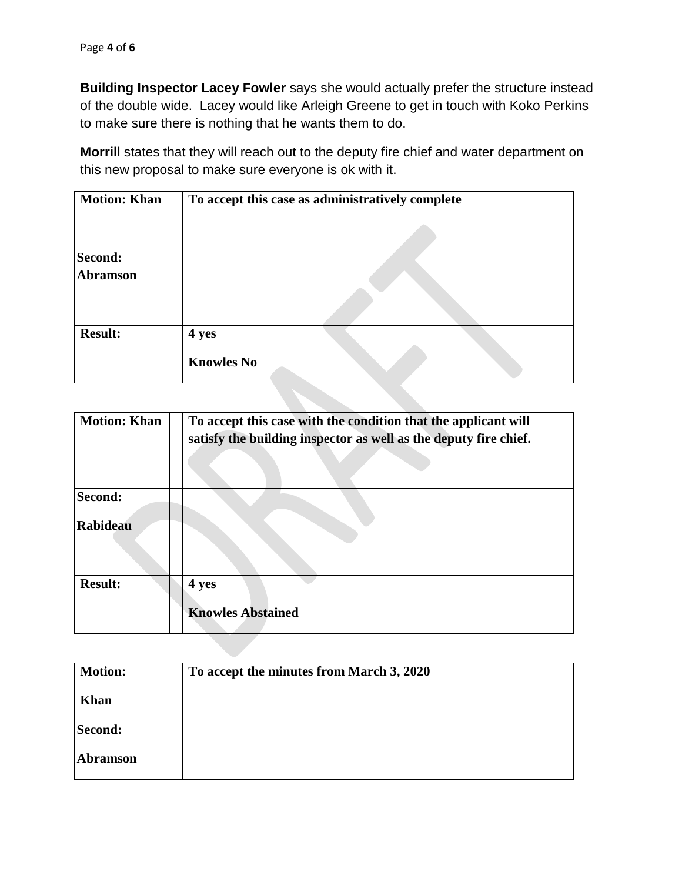**Building Inspector Lacey Fowler** says she would actually prefer the structure instead of the double wide. Lacey would like Arleigh Greene to get in touch with Koko Perkins to make sure there is nothing that he wants them to do.

**Morril**l states that they will reach out to the deputy fire chief and water department on this new proposal to make sure everyone is ok with it.

| <b>Motion: Khan</b> | To accept this case as administratively complete |
|---------------------|--------------------------------------------------|
|                     |                                                  |
| Second:             |                                                  |
| <b>Abramson</b>     |                                                  |
| <b>Result:</b>      | 4 yes                                            |
|                     | <b>Knowles No</b>                                |

| <b>Motion: Khan</b> | To accept this case with the condition that the applicant will<br>satisfy the building inspector as well as the deputy fire chief. |
|---------------------|------------------------------------------------------------------------------------------------------------------------------------|
| Second:             |                                                                                                                                    |
| <b>Rabideau</b>     |                                                                                                                                    |
| <b>Result:</b>      | 4 yes                                                                                                                              |
|                     | <b>Knowles Abstained</b>                                                                                                           |

| <b>Motion:</b>  | To accept the minutes from March 3, 2020 |
|-----------------|------------------------------------------|
| <b>Khan</b>     |                                          |
| Second:         |                                          |
| <b>Abramson</b> |                                          |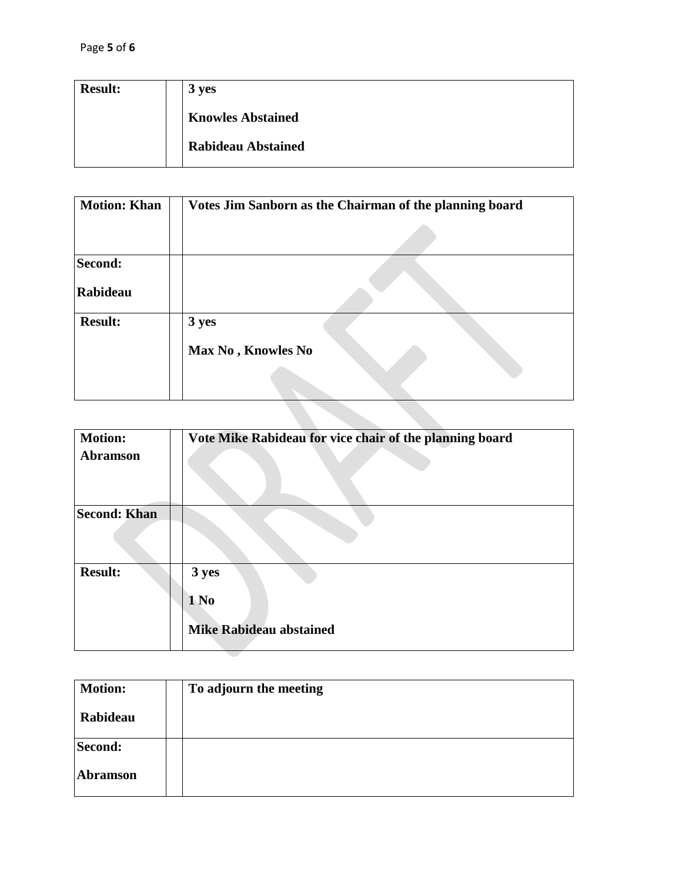| <b>Result:</b> | 3 yes                     |
|----------------|---------------------------|
|                | <b>Knowles Abstained</b>  |
|                | <b>Rabideau Abstained</b> |

| <b>Motion: Khan</b> | Votes Jim Sanborn as the Chairman of the planning board |
|---------------------|---------------------------------------------------------|
|                     |                                                         |
| Second:             |                                                         |
| Rabideau            |                                                         |
| <b>Result:</b>      | 3 yes<br>Max No, Knowles No                             |
|                     |                                                         |

| <b>Motion:</b><br><b>Abramson</b> | Vote Mike Rabideau for vice chair of the planning board     |
|-----------------------------------|-------------------------------------------------------------|
| <b>Second: Khan</b>               |                                                             |
| <b>Result:</b>                    | 3 yes<br>1 N <sub>0</sub><br><b>Mike Rabideau abstained</b> |

| <b>Motion:</b>  | To adjourn the meeting |
|-----------------|------------------------|
| Rabideau        |                        |
| Second:         |                        |
| <b>Abramson</b> |                        |